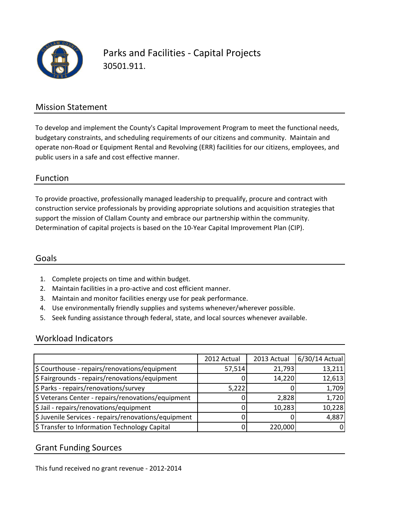

Parks and Facilities - Capital Projects 30501.911.

### Mission Statement

To develop and implement the County's Capital Improvement Program to meet the functional needs, budgetary constraints, and scheduling requirements of our citizens and community. Maintain and operate non-Road or Equipment Rental and Revolving (ERR) facilities for our citizens, employees, and public users in a safe and cost effective manner.

#### Function

To provide proactive, professionally managed leadership to prequalify, procure and contract with construction service professionals by providing appropriate solutions and acquisition strategies that support the mission of Clallam County and embrace our partnership within the community. Determination of capital projects is based on the 10-Year Capital Improvement Plan (CIP).

#### Goals

- 1. Complete projects on time and within budget.
- 2. Maintain facilities in a pro-active and cost efficient manner.
- 3. Maintain and monitor facilities energy use for peak performance.
- 4. Use environmentally friendly supplies and systems whenever/wherever possible.
- 5. Seek funding assistance through federal, state, and local sources whenever available.

#### Workload Indicators

|                                                      | 2012 Actual | 2013 Actual | 6/30/14 Actual |
|------------------------------------------------------|-------------|-------------|----------------|
| \$ Courthouse - repairs/renovations/equipment        | 57,514      | 21,793      | 13,211         |
| \$ Fairgrounds - repairs/renovations/equipment       |             | 14,220      | 12,613         |
| \$ Parks - repairs/renovations/survey                | 5,222       |             | 1,709          |
| \$ Veterans Center - repairs/renovations/equipment   |             | 2,828       | 1,720          |
| \$ Jail - repairs/renovations/equipment              |             | 10,283      | 10,228         |
| \$ Juvenile Services - repairs/renovations/equipment |             |             | 4,887          |
| \$ Transfer to Information Technology Capital        |             | 220,000     | 0              |

#### Grant Funding Sources

This fund received no grant revenue - 2012-2014